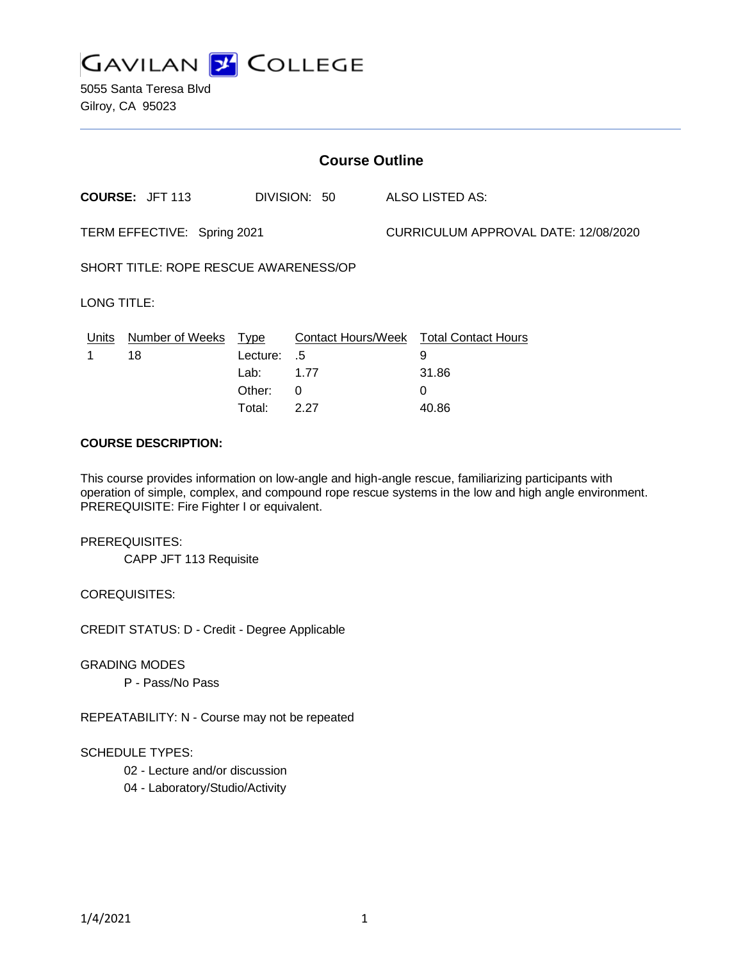

5055 Santa Teresa Blvd Gilroy, CA 95023

| <b>Course Outline</b>                 |                                        |                                      |                                    |                                      |                                                                                  |
|---------------------------------------|----------------------------------------|--------------------------------------|------------------------------------|--------------------------------------|----------------------------------------------------------------------------------|
|                                       | <b>COURSE: JFT 113</b><br>DIVISION: 50 |                                      |                                    | ALSO LISTED AS:                      |                                                                                  |
| TERM EFFECTIVE: Spring 2021           |                                        |                                      |                                    | CURRICULUM APPROVAL DATE: 12/08/2020 |                                                                                  |
| SHORT TITLE: ROPE RESCUE AWARENESS/OP |                                        |                                      |                                    |                                      |                                                                                  |
| LONG TITLE:                           |                                        |                                      |                                    |                                      |                                                                                  |
| Units                                 | Number of Weeks Type<br>18             | Lecture:<br>Lab:<br>Other:<br>Total: | .5<br>1.77<br>$\mathbf{0}$<br>2.27 |                                      | <b>Contact Hours/Week Total Contact Hours</b><br>9<br>31.86<br>$\Omega$<br>40.86 |
| <b>COURSE DESCRIPTION:</b>            |                                        |                                      |                                    |                                      |                                                                                  |

This course provides information on low-angle and high-angle rescue, familiarizing participants with operation of simple, complex, and compound rope rescue systems in the low and high angle environment. PREREQUISITE: Fire Fighter I or equivalent.

PREREQUISITES:

CAPP JFT 113 Requisite

COREQUISITES:

CREDIT STATUS: D - Credit - Degree Applicable

GRADING MODES

P - Pass/No Pass

REPEATABILITY: N - Course may not be repeated

### SCHEDULE TYPES:

02 - Lecture and/or discussion

04 - Laboratory/Studio/Activity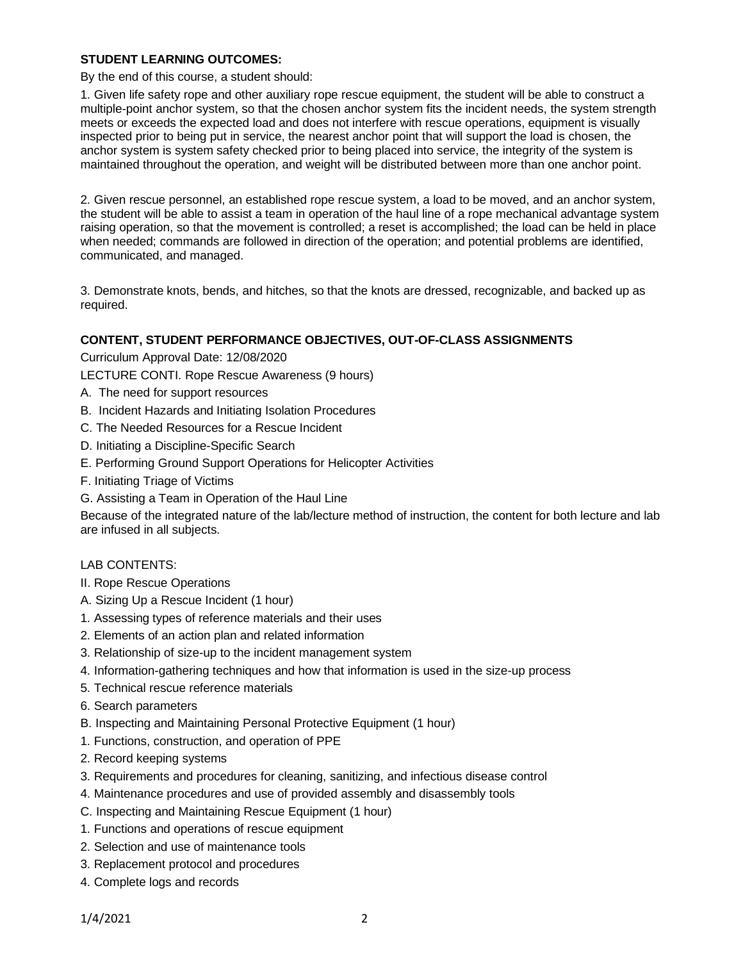### **STUDENT LEARNING OUTCOMES:**

By the end of this course, a student should:

1. Given life safety rope and other auxiliary rope rescue equipment, the student will be able to construct a multiple-point anchor system, so that the chosen anchor system fits the incident needs, the system strength meets or exceeds the expected load and does not interfere with rescue operations, equipment is visually inspected prior to being put in service, the nearest anchor point that will support the load is chosen, the anchor system is system safety checked prior to being placed into service, the integrity of the system is maintained throughout the operation, and weight will be distributed between more than one anchor point.

2. Given rescue personnel, an established rope rescue system, a load to be moved, and an anchor system, the student will be able to assist a team in operation of the haul line of a rope mechanical advantage system raising operation, so that the movement is controlled; a reset is accomplished; the load can be held in place when needed; commands are followed in direction of the operation; and potential problems are identified, communicated, and managed.

3. Demonstrate knots, bends, and hitches, so that the knots are dressed, recognizable, and backed up as required.

### **CONTENT, STUDENT PERFORMANCE OBJECTIVES, OUT-OF-CLASS ASSIGNMENTS**

Curriculum Approval Date: 12/08/2020

LECTURE CONTI. Rope Rescue Awareness (9 hours)

- A. The need for support resources
- B. Incident Hazards and Initiating Isolation Procedures
- C. The Needed Resources for a Rescue Incident
- D. Initiating a Discipline-Specific Search
- E. Performing Ground Support Operations for Helicopter Activities
- F. Initiating Triage of Victims
- G. Assisting a Team in Operation of the Haul Line

Because of the integrated nature of the lab/lecture method of instruction, the content for both lecture and lab are infused in all subjects.

### LAB CONTENTS:

- II. Rope Rescue Operations
- A. Sizing Up a Rescue Incident (1 hour)
- 1. Assessing types of reference materials and their uses
- 2. Elements of an action plan and related information
- 3. Relationship of size-up to the incident management system
- 4. Information-gathering techniques and how that information is used in the size-up process
- 5. Technical rescue reference materials
- 6. Search parameters
- B. Inspecting and Maintaining Personal Protective Equipment (1 hour)
- 1. Functions, construction, and operation of PPE
- 2. Record keeping systems
- 3. Requirements and procedures for cleaning, sanitizing, and infectious disease control
- 4. Maintenance procedures and use of provided assembly and disassembly tools
- C. Inspecting and Maintaining Rescue Equipment (1 hour)
- 1. Functions and operations of rescue equipment
- 2. Selection and use of maintenance tools
- 3. Replacement protocol and procedures
- 4. Complete logs and records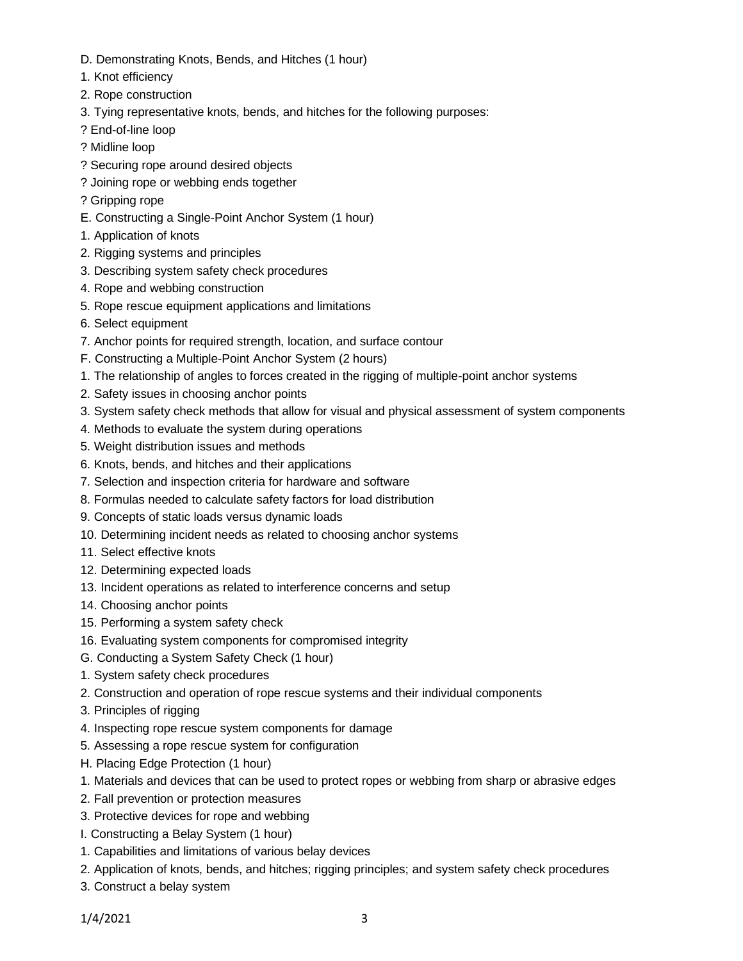- D. Demonstrating Knots, Bends, and Hitches (1 hour)
- 1. Knot efficiency
- 2. Rope construction
- 3. Tying representative knots, bends, and hitches for the following purposes:
- ? End-of-line loop
- ? Midline loop
- ? Securing rope around desired objects
- ? Joining rope or webbing ends together
- ? Gripping rope
- E. Constructing a Single-Point Anchor System (1 hour)
- 1. Application of knots
- 2. Rigging systems and principles
- 3. Describing system safety check procedures
- 4. Rope and webbing construction
- 5. Rope rescue equipment applications and limitations
- 6. Select equipment
- 7. Anchor points for required strength, location, and surface contour
- F. Constructing a Multiple-Point Anchor System (2 hours)
- 1. The relationship of angles to forces created in the rigging of multiple-point anchor systems
- 2. Safety issues in choosing anchor points
- 3. System safety check methods that allow for visual and physical assessment of system components
- 4. Methods to evaluate the system during operations
- 5. Weight distribution issues and methods
- 6. Knots, bends, and hitches and their applications
- 7. Selection and inspection criteria for hardware and software
- 8. Formulas needed to calculate safety factors for load distribution
- 9. Concepts of static loads versus dynamic loads
- 10. Determining incident needs as related to choosing anchor systems
- 11. Select effective knots
- 12. Determining expected loads
- 13. Incident operations as related to interference concerns and setup
- 14. Choosing anchor points
- 15. Performing a system safety check
- 16. Evaluating system components for compromised integrity
- G. Conducting a System Safety Check (1 hour)
- 1. System safety check procedures
- 2. Construction and operation of rope rescue systems and their individual components
- 3. Principles of rigging
- 4. Inspecting rope rescue system components for damage
- 5. Assessing a rope rescue system for configuration
- H. Placing Edge Protection (1 hour)
- 1. Materials and devices that can be used to protect ropes or webbing from sharp or abrasive edges
- 2. Fall prevention or protection measures
- 3. Protective devices for rope and webbing
- I. Constructing a Belay System (1 hour)
- 1. Capabilities and limitations of various belay devices
- 2. Application of knots, bends, and hitches; rigging principles; and system safety check procedures
- 3. Construct a belay system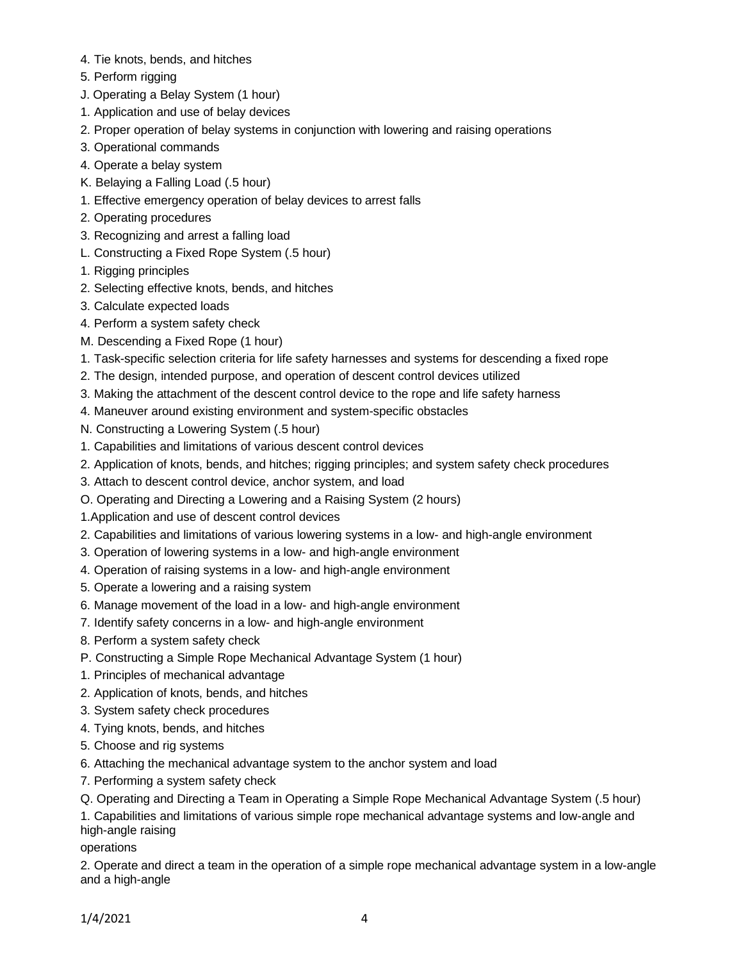- 4. Tie knots, bends, and hitches
- 5. Perform rigging
- J. Operating a Belay System (1 hour)
- 1. Application and use of belay devices
- 2. Proper operation of belay systems in conjunction with lowering and raising operations
- 3. Operational commands
- 4. Operate a belay system
- K. Belaying a Falling Load (.5 hour)
- 1. Effective emergency operation of belay devices to arrest falls
- 2. Operating procedures
- 3. Recognizing and arrest a falling load
- L. Constructing a Fixed Rope System (.5 hour)
- 1. Rigging principles
- 2. Selecting effective knots, bends, and hitches
- 3. Calculate expected loads
- 4. Perform a system safety check
- M. Descending a Fixed Rope (1 hour)
- 1. Task-specific selection criteria for life safety harnesses and systems for descending a fixed rope
- 2. The design, intended purpose, and operation of descent control devices utilized
- 3. Making the attachment of the descent control device to the rope and life safety harness
- 4. Maneuver around existing environment and system-specific obstacles
- N. Constructing a Lowering System (.5 hour)
- 1. Capabilities and limitations of various descent control devices
- 2. Application of knots, bends, and hitches; rigging principles; and system safety check procedures
- 3. Attach to descent control device, anchor system, and load
- O. Operating and Directing a Lowering and a Raising System (2 hours)
- 1.Application and use of descent control devices
- 2. Capabilities and limitations of various lowering systems in a low- and high-angle environment
- 3. Operation of lowering systems in a low- and high-angle environment
- 4. Operation of raising systems in a low- and high-angle environment
- 5. Operate a lowering and a raising system
- 6. Manage movement of the load in a low- and high-angle environment
- 7. Identify safety concerns in a low- and high-angle environment
- 8. Perform a system safety check
- P. Constructing a Simple Rope Mechanical Advantage System (1 hour)
- 1. Principles of mechanical advantage
- 2. Application of knots, bends, and hitches
- 3. System safety check procedures
- 4. Tying knots, bends, and hitches
- 5. Choose and rig systems
- 6. Attaching the mechanical advantage system to the anchor system and load
- 7. Performing a system safety check
- Q. Operating and Directing a Team in Operating a Simple Rope Mechanical Advantage System (.5 hour)

1. Capabilities and limitations of various simple rope mechanical advantage systems and low-angle and high-angle raising

operations

2. Operate and direct a team in the operation of a simple rope mechanical advantage system in a low-angle and a high-angle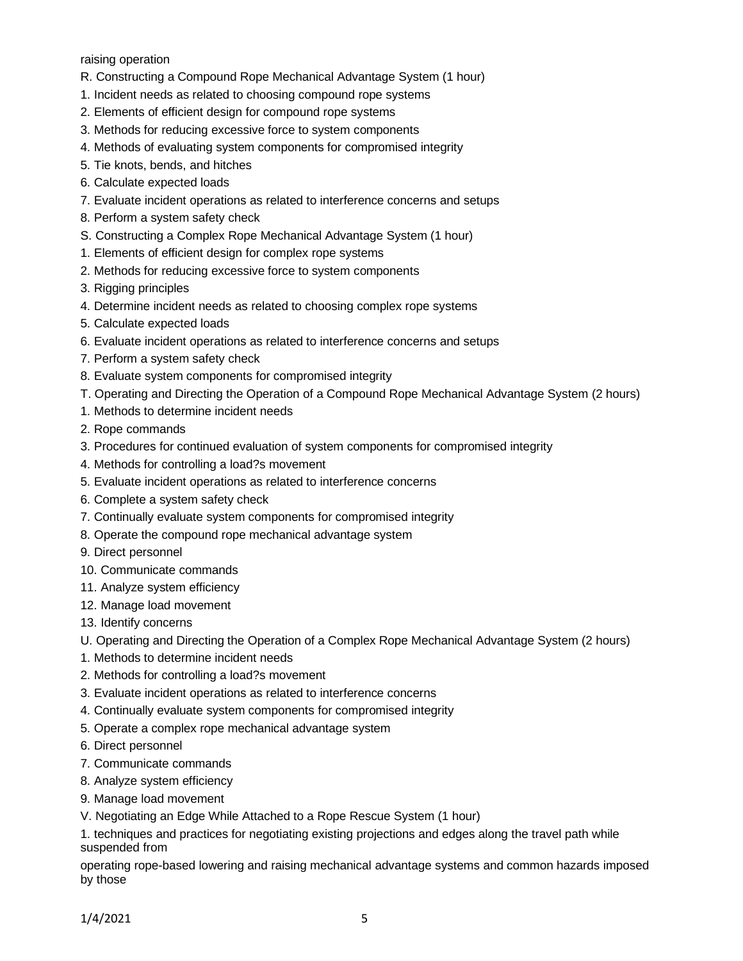raising operation

- R. Constructing a Compound Rope Mechanical Advantage System (1 hour)
- 1. Incident needs as related to choosing compound rope systems
- 2. Elements of efficient design for compound rope systems
- 3. Methods for reducing excessive force to system components
- 4. Methods of evaluating system components for compromised integrity
- 5. Tie knots, bends, and hitches
- 6. Calculate expected loads
- 7. Evaluate incident operations as related to interference concerns and setups
- 8. Perform a system safety check
- S. Constructing a Complex Rope Mechanical Advantage System (1 hour)
- 1. Elements of efficient design for complex rope systems
- 2. Methods for reducing excessive force to system components
- 3. Rigging principles
- 4. Determine incident needs as related to choosing complex rope systems
- 5. Calculate expected loads
- 6. Evaluate incident operations as related to interference concerns and setups
- 7. Perform a system safety check
- 8. Evaluate system components for compromised integrity
- T. Operating and Directing the Operation of a Compound Rope Mechanical Advantage System (2 hours)
- 1. Methods to determine incident needs
- 2. Rope commands
- 3. Procedures for continued evaluation of system components for compromised integrity
- 4. Methods for controlling a load?s movement
- 5. Evaluate incident operations as related to interference concerns
- 6. Complete a system safety check
- 7. Continually evaluate system components for compromised integrity
- 8. Operate the compound rope mechanical advantage system
- 9. Direct personnel
- 10. Communicate commands
- 11. Analyze system efficiency
- 12. Manage load movement
- 13. Identify concerns
- U. Operating and Directing the Operation of a Complex Rope Mechanical Advantage System (2 hours)
- 1. Methods to determine incident needs
- 2. Methods for controlling a load?s movement
- 3. Evaluate incident operations as related to interference concerns
- 4. Continually evaluate system components for compromised integrity
- 5. Operate a complex rope mechanical advantage system
- 6. Direct personnel
- 7. Communicate commands
- 8. Analyze system efficiency
- 9. Manage load movement
- V. Negotiating an Edge While Attached to a Rope Rescue System (1 hour)

1. techniques and practices for negotiating existing projections and edges along the travel path while suspended from

operating rope-based lowering and raising mechanical advantage systems and common hazards imposed by those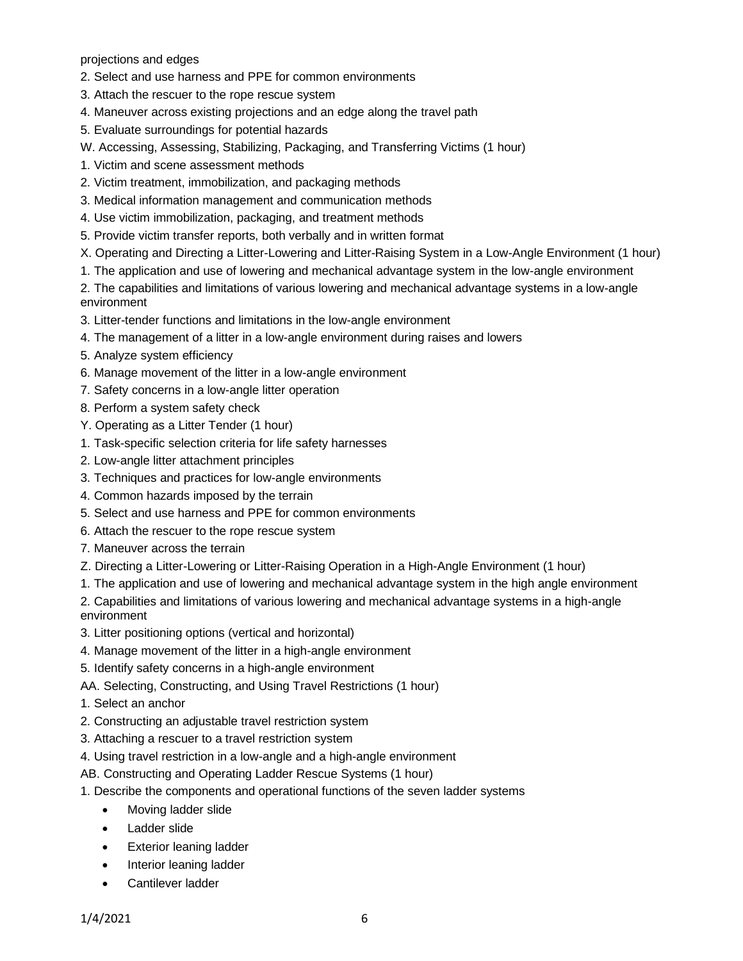projections and edges

- 2. Select and use harness and PPE for common environments
- 3. Attach the rescuer to the rope rescue system
- 4. Maneuver across existing projections and an edge along the travel path
- 5. Evaluate surroundings for potential hazards
- W. Accessing, Assessing, Stabilizing, Packaging, and Transferring Victims (1 hour)
- 1. Victim and scene assessment methods
- 2. Victim treatment, immobilization, and packaging methods
- 3. Medical information management and communication methods
- 4. Use victim immobilization, packaging, and treatment methods
- 5. Provide victim transfer reports, both verbally and in written format
- X. Operating and Directing a Litter-Lowering and Litter-Raising System in a Low-Angle Environment (1 hour)
- 1. The application and use of lowering and mechanical advantage system in the low-angle environment

2. The capabilities and limitations of various lowering and mechanical advantage systems in a low-angle environment

- 3. Litter-tender functions and limitations in the low-angle environment
- 4. The management of a litter in a low-angle environment during raises and lowers
- 5. Analyze system efficiency
- 6. Manage movement of the litter in a low-angle environment
- 7. Safety concerns in a low-angle litter operation
- 8. Perform a system safety check
- Y. Operating as a Litter Tender (1 hour)
- 1. Task-specific selection criteria for life safety harnesses
- 2. Low-angle litter attachment principles
- 3. Techniques and practices for low-angle environments
- 4. Common hazards imposed by the terrain
- 5. Select and use harness and PPE for common environments
- 6. Attach the rescuer to the rope rescue system
- 7. Maneuver across the terrain
- Z. Directing a Litter-Lowering or Litter-Raising Operation in a High-Angle Environment (1 hour)
- 1. The application and use of lowering and mechanical advantage system in the high angle environment
- 2. Capabilities and limitations of various lowering and mechanical advantage systems in a high-angle environment
- 3. Litter positioning options (vertical and horizontal)
- 4. Manage movement of the litter in a high-angle environment
- 5. Identify safety concerns in a high-angle environment
- AA. Selecting, Constructing, and Using Travel Restrictions (1 hour)
- 1. Select an anchor
- 2. Constructing an adjustable travel restriction system
- 3. Attaching a rescuer to a travel restriction system
- 4. Using travel restriction in a low-angle and a high-angle environment
- AB. Constructing and Operating Ladder Rescue Systems (1 hour)
- 1. Describe the components and operational functions of the seven ladder systems
	- Moving ladder slide
	- Ladder slide
	- **Exterior leaning ladder**
	- Interior leaning ladder
	- Cantilever ladder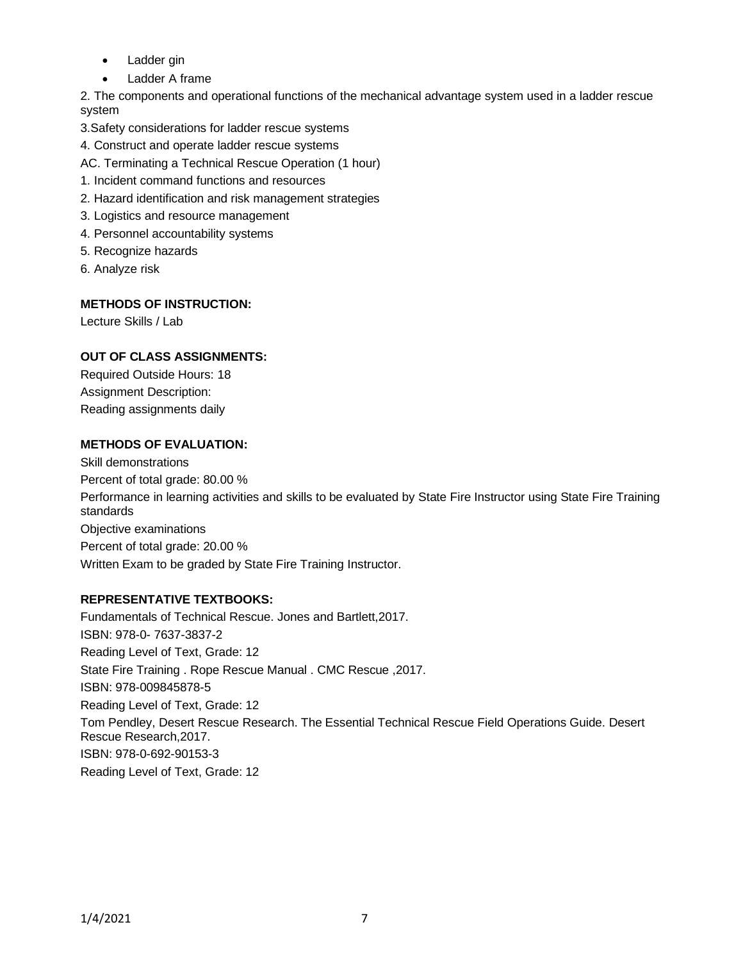- Ladder gin
- Ladder A frame

2. The components and operational functions of the mechanical advantage system used in a ladder rescue system

3.Safety considerations for ladder rescue systems

- 4. Construct and operate ladder rescue systems
- AC. Terminating a Technical Rescue Operation (1 hour)
- 1. Incident command functions and resources
- 2. Hazard identification and risk management strategies
- 3. Logistics and resource management
- 4. Personnel accountability systems
- 5. Recognize hazards
- 6. Analyze risk

## **METHODS OF INSTRUCTION:**

Lecture Skills / Lab

# **OUT OF CLASS ASSIGNMENTS:**

Required Outside Hours: 18 Assignment Description: Reading assignments daily

## **METHODS OF EVALUATION:**

Skill demonstrations Percent of total grade: 80.00 % Performance in learning activities and skills to be evaluated by State Fire Instructor using State Fire Training standards Objective examinations Percent of total grade: 20.00 % Written Exam to be graded by State Fire Training Instructor.

### **REPRESENTATIVE TEXTBOOKS:**

Fundamentals of Technical Rescue. Jones and Bartlett,2017. ISBN: 978-0- 7637-3837-2 Reading Level of Text, Grade: 12 State Fire Training . Rope Rescue Manual . CMC Rescue ,2017. ISBN: 978-009845878-5 Reading Level of Text, Grade: 12 Tom Pendley, Desert Rescue Research. The Essential Technical Rescue Field Operations Guide. Desert Rescue Research,2017. ISBN: 978-0-692-90153-3 Reading Level of Text, Grade: 12